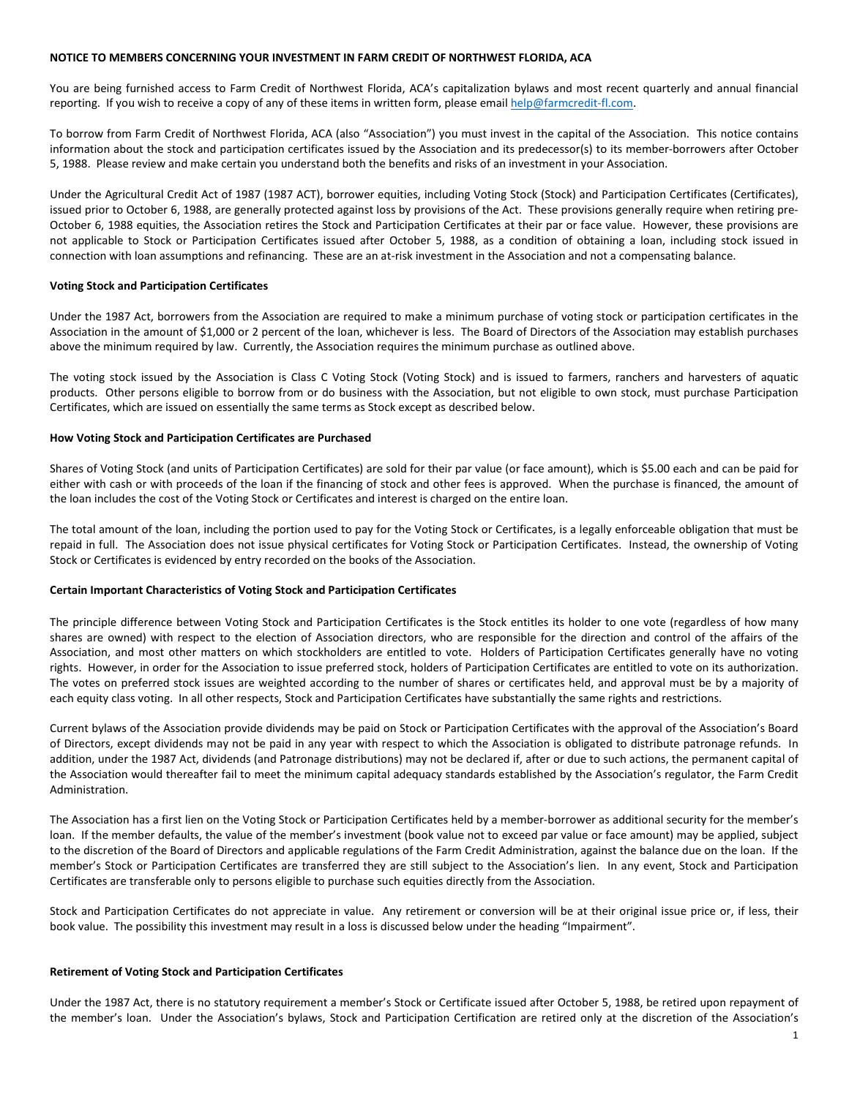#### **NOTICE TO MEMBERS CONCERNING YOUR INVESTMENT IN FARM CREDIT OF NORTHWEST FLORIDA, ACA**

You are being furnished access to Farm Credit of Northwest Florida, ACA's capitalization bylaws and most recent quarterly and annual financial reporting. If you wish to receive a copy of any of these items in written form, please email help@farmcredit-fl.com.

To borrow from Farm Credit of Northwest Florida, ACA (also "Association") you must invest in the capital of the Association. This notice contains information about the stock and participation certificates issued by the Association and its predecessor(s) to its member-borrowers after October 5, 1988. Please review and make certain you understand both the benefits and risks of an investment in your Association.

Under the Agricultural Credit Act of 1987 (1987 ACT), borrower equities, including Voting Stock (Stock) and Participation Certificates (Certificates), issued prior to October 6, 1988, are generally protected against loss by provisions of the Act. These provisions generally require when retiring pre-October 6, 1988 equities, the Association retires the Stock and Participation Certificates at their par or face value. However, these provisions are not applicable to Stock or Participation Certificates issued after October 5, 1988, as a condition of obtaining a loan, including stock issued in connection with loan assumptions and refinancing. These are an at-risk investment in the Association and not a compensating balance.

# **Voting Stock and Participation Certificates**

Under the 1987 Act, borrowers from the Association are required to make a minimum purchase of voting stock or participation certificates in the Association in the amount of \$1,000 or 2 percent of the loan, whichever is less. The Board of Directors of the Association may establish purchases above the minimum required by law. Currently, the Association requires the minimum purchase as outlined above.

The voting stock issued by the Association is Class C Voting Stock (Voting Stock) and is issued to farmers, ranchers and harvesters of aquatic products. Other persons eligible to borrow from or do business with the Association, but not eligible to own stock, must purchase Participation Certificates, which are issued on essentially the same terms as Stock except as described below.

# **How Voting Stock and Participation Certificates are Purchased**

Shares of Voting Stock (and units of Participation Certificates) are sold for their par value (or face amount), which is \$5.00 each and can be paid for either with cash or with proceeds of the loan if the financing of stock and other fees is approved. When the purchase is financed, the amount of the loan includes the cost of the Voting Stock or Certificates and interest is charged on the entire loan.

The total amount of the loan, including the portion used to pay for the Voting Stock or Certificates, is a legally enforceable obligation that must be repaid in full. The Association does not issue physical certificates for Voting Stock or Participation Certificates. Instead, the ownership of Voting Stock or Certificates is evidenced by entry recorded on the books of the Association.

# **Certain Important Characteristics of Voting Stock and Participation Certificates**

The principle difference between Voting Stock and Participation Certificates is the Stock entitles its holder to one vote (regardless of how many shares are owned) with respect to the election of Association directors, who are responsible for the direction and control of the affairs of the Association, and most other matters on which stockholders are entitled to vote. Holders of Participation Certificates generally have no voting rights. However, in order for the Association to issue preferred stock, holders of Participation Certificates are entitled to vote on its authorization. The votes on preferred stock issues are weighted according to the number of shares or certificates held, and approval must be by a majority of each equity class voting. In all other respects, Stock and Participation Certificates have substantially the same rights and restrictions.

Current bylaws of the Association provide dividends may be paid on Stock or Participation Certificates with the approval of the Association's Board of Directors, except dividends may not be paid in any year with respect to which the Association is obligated to distribute patronage refunds. In addition, under the 1987 Act, dividends (and Patronage distributions) may not be declared if, after or due to such actions, the permanent capital of the Association would thereafter fail to meet the minimum capital adequacy standards established by the Association's regulator, the Farm Credit Administration.

The Association has a first lien on the Voting Stock or Participation Certificates held by a member-borrower as additional security for the member's loan. If the member defaults, the value of the member's investment (book value not to exceed par value or face amount) may be applied, subject to the discretion of the Board of Directors and applicable regulations of the Farm Credit Administration, against the balance due on the loan. If the member's Stock or Participation Certificates are transferred they are still subject to the Association's lien. In any event, Stock and Participation Certificates are transferable only to persons eligible to purchase such equities directly from the Association.

Stock and Participation Certificates do not appreciate in value. Any retirement or conversion will be at their original issue price or, if less, their book value. The possibility this investment may result in a loss is discussed below under the heading "Impairment".

#### **Retirement of Voting Stock and Participation Certificates**

Under the 1987 Act, there is no statutory requirement a member's Stock or Certificate issued after October 5, 1988, be retired upon repayment of the member's loan. Under the Association's bylaws, Stock and Participation Certification are retired only at the discretion of the Association's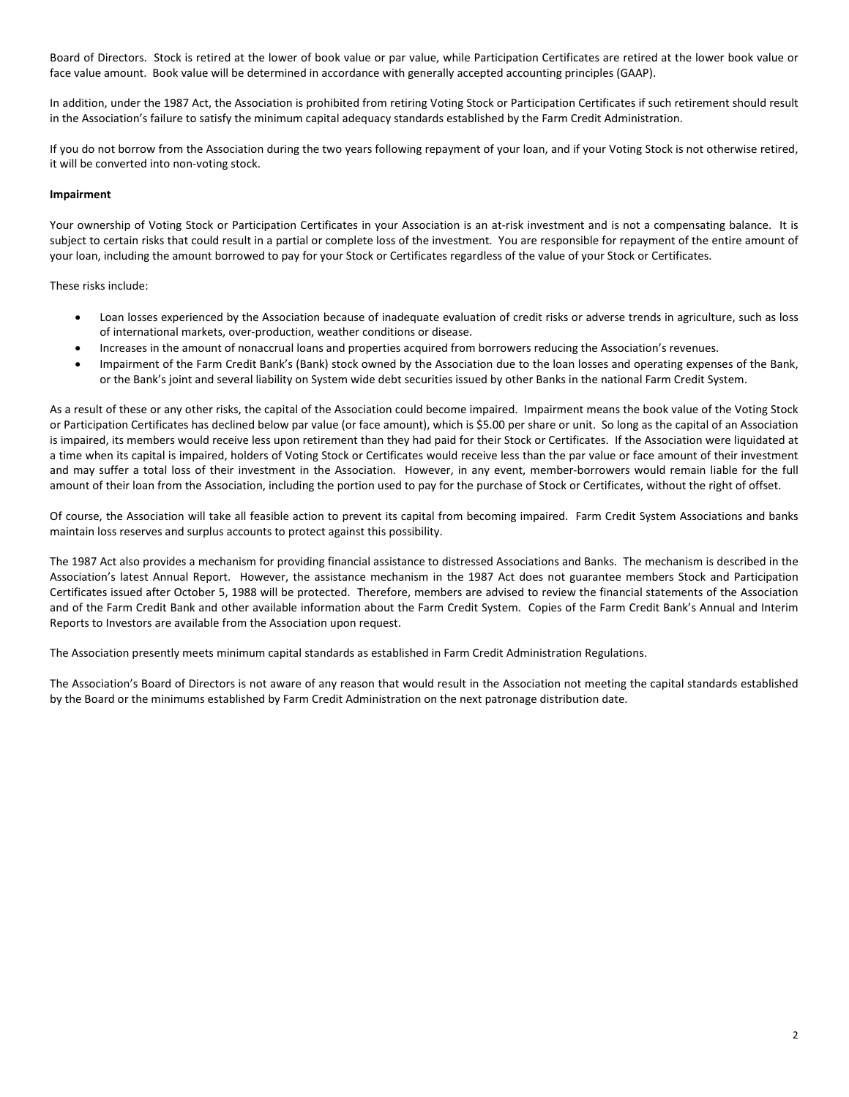Board of Directors. Stock is retired at the lower of book value or par value, while Participation Certificates are retired at the lower book value or face value amount. Book value will be determined in accordance with generally accepted accounting principles (GAAP).

In addition, under the 1987 Act, the Association is prohibited from retiring Voting Stock or Participation Certificates if such retirement should result in the Association's failure to satisfy the minimum capital adequacy standards established by the Farm Credit Administration.

If you do not borrow from the Association during the two years following repayment of your loan, and if your Voting Stock is not otherwise retired, it will be converted into non-voting stock.

# **Impairment**

Your ownership of Voting Stock or Participation Certificates in your Association is an at-risk investment and is not a compensating balance. It is subject to certain risks that could result in a partial or complete loss of the investment. You are responsible for repayment of the entire amount of your loan, including the amount borrowed to pay for your Stock or Certificates regardless of the value of your Stock or Certificates.

These risks include:

- Loan losses experienced by the Association because of inadequate evaluation of credit risks or adverse trends in agriculture, such as loss of international markets, over-production, weather conditions or disease.
- Increases in the amount of nonaccrual loans and properties acquired from borrowers reducing the Association's revenues.
- Impairment of the Farm Credit Bank's (Bank) stock owned by the Association due to the loan losses and operating expenses of the Bank, or the Bank's joint and several liability on System wide debt securities issued by other Banks in the national Farm Credit System.

As a result of these or any other risks, the capital of the Association could become impaired. Impairment means the book value of the Voting Stock or Participation Certificates has declined below par value (or face amount), which is \$5.00 per share or unit. So long as the capital of an Association is impaired, its members would receive less upon retirement than they had paid for their Stock or Certificates. If the Association were liquidated at a time when its capital is impaired, holders of Voting Stock or Certificates would receive less than the par value or face amount of their investment and may suffer a total loss of their investment in the Association. However, in any event, member-borrowers would remain liable for the full amount of their loan from the Association, including the portion used to pay for the purchase of Stock or Certificates, without the right of offset.

Of course, the Association will take all feasible action to prevent its capital from becoming impaired. Farm Credit System Associations and banks maintain loss reserves and surplus accounts to protect against this possibility.

The 1987 Act also provides a mechanism for providing financial assistance to distressed Associations and Banks. The mechanism is described in the Association's latest Annual Report. However, the assistance mechanism in the 1987 Act does not guarantee members Stock and Participation Certificates issued after October 5, 1988 will be protected. Therefore, members are advised to review the financial statements of the Association and of the Farm Credit Bank and other available information about the Farm Credit System. Copies of the Farm Credit Bank's Annual and Interim Reports to Investors are available from the Association upon request.

The Association presently meets minimum capital standards as established in Farm Credit Administration Regulations.

The Association's Board of Directors is not aware of any reason that would result in the Association not meeting the capital standards established by the Board or the minimums established by Farm Credit Administration on the next patronage distribution date.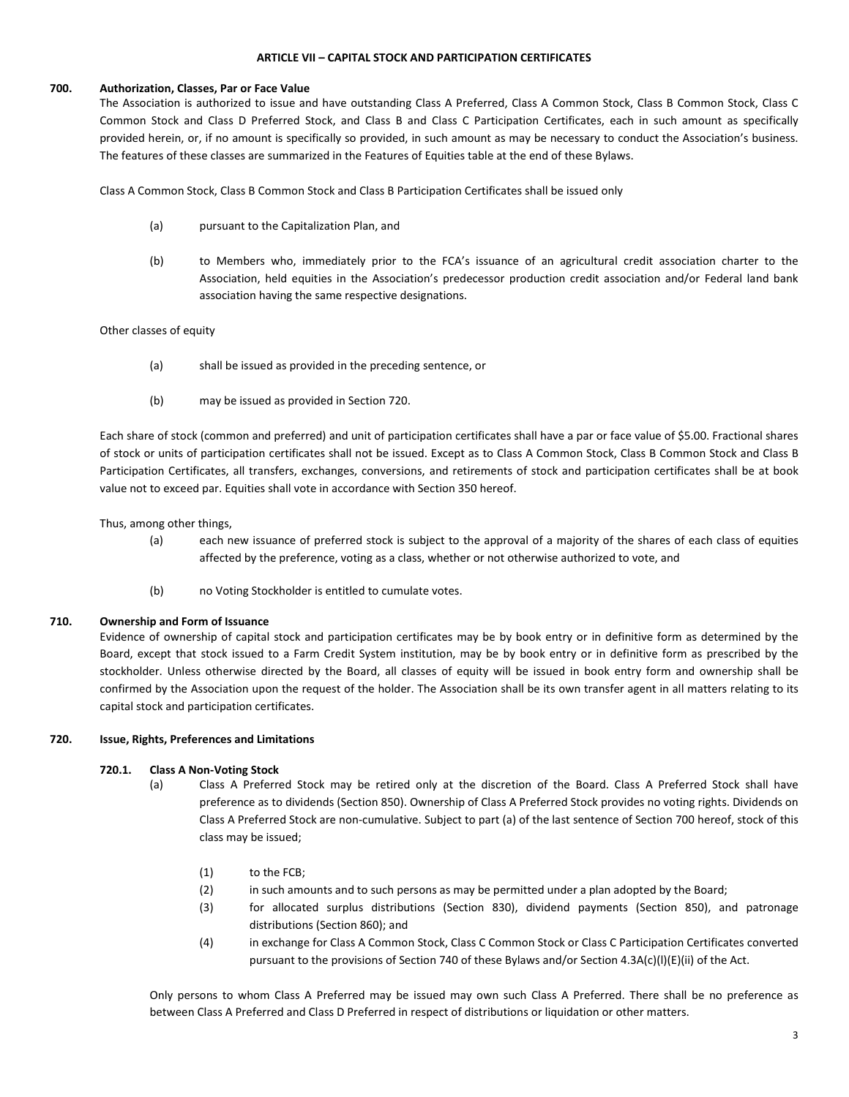#### **ARTICLE VII – CAPITAL STOCK AND PARTICIPATION CERTIFICATES**

#### **700. Authorization, Classes, Par or Face Value**

The Association is authorized to issue and have outstanding Class A Preferred, Class A Common Stock, Class B Common Stock, Class C Common Stock and Class D Preferred Stock, and Class B and Class C Participation Certificates, each in such amount as specifically provided herein, or, if no amount is specifically so provided, in such amount as may be necessary to conduct the Association's business. The features of these classes are summarized in the Features of Equities table at the end of these Bylaws.

Class A Common Stock, Class B Common Stock and Class B Participation Certificates shall be issued only

- (a) pursuant to the Capitalization Plan, and
- (b) to Members who, immediately prior to the FCA's issuance of an agricultural credit association charter to the Association, held equities in the Association's predecessor production credit association and/or Federal land bank association having the same respective designations.

# Other classes of equity

- (a) shall be issued as provided in the preceding sentence, or
- (b) may be issued as provided in Section 720.

Each share of stock (common and preferred) and unit of participation certificates shall have a par or face value of \$5.00. Fractional shares of stock or units of participation certificates shall not be issued. Except as to Class A Common Stock, Class B Common Stock and Class B Participation Certificates, all transfers, exchanges, conversions, and retirements of stock and participation certificates shall be at book value not to exceed par. Equities shall vote in accordance with Section 350 hereof.

Thus, among other things,

- (a) each new issuance of preferred stock is subject to the approval of a majority of the shares of each class of equities affected by the preference, voting as a class, whether or not otherwise authorized to vote, and
- (b) no Voting Stockholder is entitled to cumulate votes.

#### **710. Ownership and Form of Issuance**

Evidence of ownership of capital stock and participation certificates may be by book entry or in definitive form as determined by the Board, except that stock issued to a Farm Credit System institution, may be by book entry or in definitive form as prescribed by the stockholder. Unless otherwise directed by the Board, all classes of equity will be issued in book entry form and ownership shall be confirmed by the Association upon the request of the holder. The Association shall be its own transfer agent in all matters relating to its capital stock and participation certificates.

# **720. Issue, Rights, Preferences and Limitations**

# **720.1. Class A Non-Voting Stock**

- (a) Class A Preferred Stock may be retired only at the discretion of the Board. Class A Preferred Stock shall have preference as to dividends (Section 850). Ownership of Class A Preferred Stock provides no voting rights. Dividends on Class A Preferred Stock are non-cumulative. Subject to part (a) of the last sentence of Section 700 hereof, stock of this class may be issued;
	- (1) to the FCB;
	- (2) in such amounts and to such persons as may be permitted under a plan adopted by the Board;
	- (3) for allocated surplus distributions (Section 830), dividend payments (Section 850), and patronage distributions (Section 860); and
	- (4) in exchange for Class A Common Stock, Class C Common Stock or Class C Participation Certificates converted pursuant to the provisions of Section 740 of these Bylaws and/or Section 4.3A(c)(l)(E)(ii) of the Act.

Only persons to whom Class A Preferred may be issued may own such Class A Preferred. There shall be no preference as between Class A Preferred and Class D Preferred in respect of distributions or liquidation or other matters.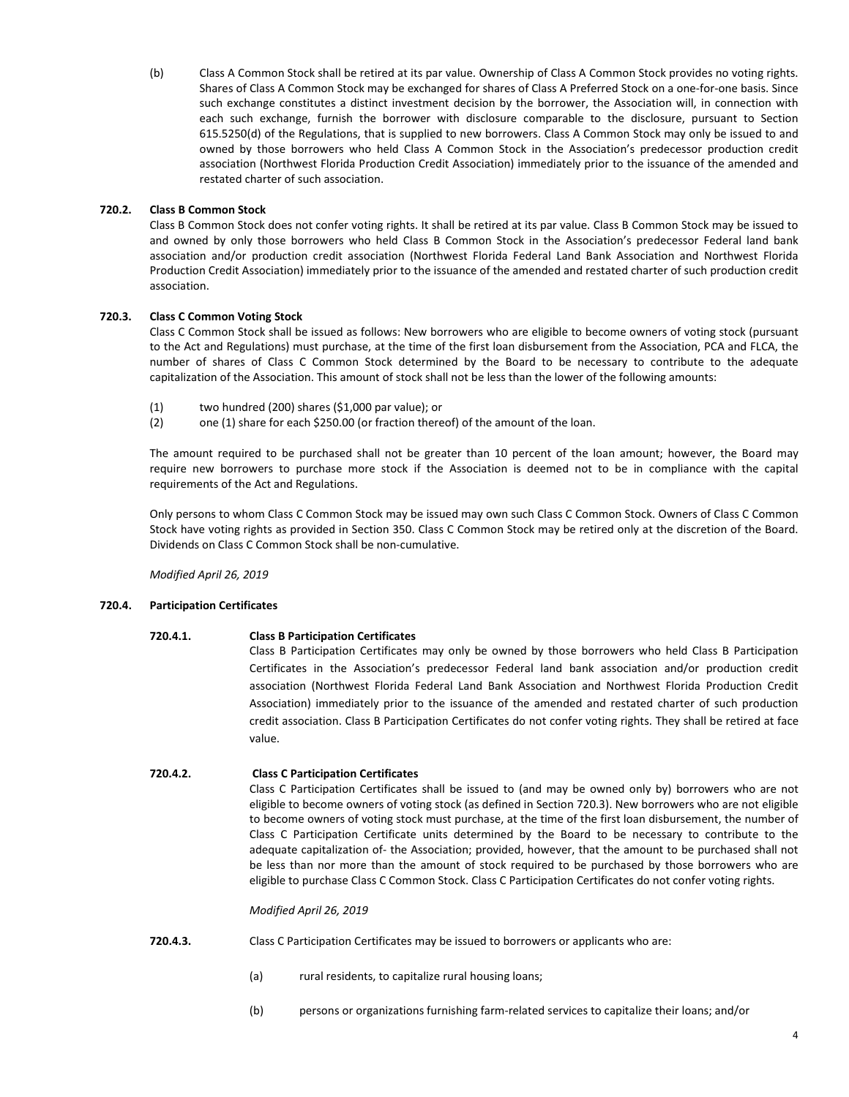(b) Class A Common Stock shall be retired at its par value. Ownership of Class A Common Stock provides no voting rights. Shares of Class A Common Stock may be exchanged for shares of Class A Preferred Stock on a one-for-one basis. Since such exchange constitutes a distinct investment decision by the borrower, the Association will, in connection with each such exchange, furnish the borrower with disclosure comparable to the disclosure, pursuant to Section 615.5250(d) of the Regulations, that is supplied to new borrowers. Class A Common Stock may only be issued to and owned by those borrowers who held Class A Common Stock in the Association's predecessor production credit association (Northwest Florida Production Credit Association) immediately prior to the issuance of the amended and restated charter of such association.

# **720.2. Class B Common Stock**

Class B Common Stock does not confer voting rights. It shall be retired at its par value. Class B Common Stock may be issued to and owned by only those borrowers who held Class B Common Stock in the Association's predecessor Federal land bank association and/or production credit association (Northwest Florida Federal Land Bank Association and Northwest Florida Production Credit Association) immediately prior to the issuance of the amended and restated charter of such production credit association.

# **720.3. Class C Common Voting Stock**

Class C Common Stock shall be issued as follows: New borrowers who are eligible to become owners of voting stock (pursuant to the Act and Regulations) must purchase, at the time of the first loan disbursement from the Association, PCA and FLCA, the number of shares of Class C Common Stock determined by the Board to be necessary to contribute to the adequate capitalization of the Association. This amount of stock shall not be less than the lower of the following amounts:

- (1) two hundred (200) shares (\$1,000 par value); or
- (2) one (1) share for each \$250.00 (or fraction thereof) of the amount of the loan.

The amount required to be purchased shall not be greater than 10 percent of the loan amount; however, the Board may require new borrowers to purchase more stock if the Association is deemed not to be in compliance with the capital requirements of the Act and Regulations.

Only persons to whom Class C Common Stock may be issued may own such Class C Common Stock. Owners of Class C Common Stock have voting rights as provided in Section 350. Class C Common Stock may be retired only at the discretion of the Board. Dividends on Class C Common Stock shall be non-cumulative.

*Modified April 26, 2019*

# **720.4. Participation Certificates**

# **720.4.1. Class B Participation Certificates**

Class B Participation Certificates may only be owned by those borrowers who held Class B Participation Certificates in the Association's predecessor Federal land bank association and/or production credit association (Northwest Florida Federal Land Bank Association and Northwest Florida Production Credit Association) immediately prior to the issuance of the amended and restated charter of such production credit association. Class B Participation Certificates do not confer voting rights. They shall be retired at face value.

# **720.4.2. Class C Participation Certificates**

Class C Participation Certificates shall be issued to (and may be owned only by) borrowers who are not eligible to become owners of voting stock (as defined in Section 720.3). New borrowers who are not eligible to become owners of voting stock must purchase, at the time of the first loan disbursement, the number of Class C Participation Certificate units determined by the Board to be necessary to contribute to the adequate capitalization of- the Association; provided, however, that the amount to be purchased shall not be less than nor more than the amount of stock required to be purchased by those borrowers who are eligible to purchase Class C Common Stock. Class C Participation Certificates do not confer voting rights.

#### *Modified April 26, 2019*

- **720.4.3.** Class C Participation Certificates may be issued to borrowers or applicants who are:
	- (a) rural residents, to capitalize rural housing loans;
	- (b) persons or organizations furnishing farm-related services to capitalize their loans; and/or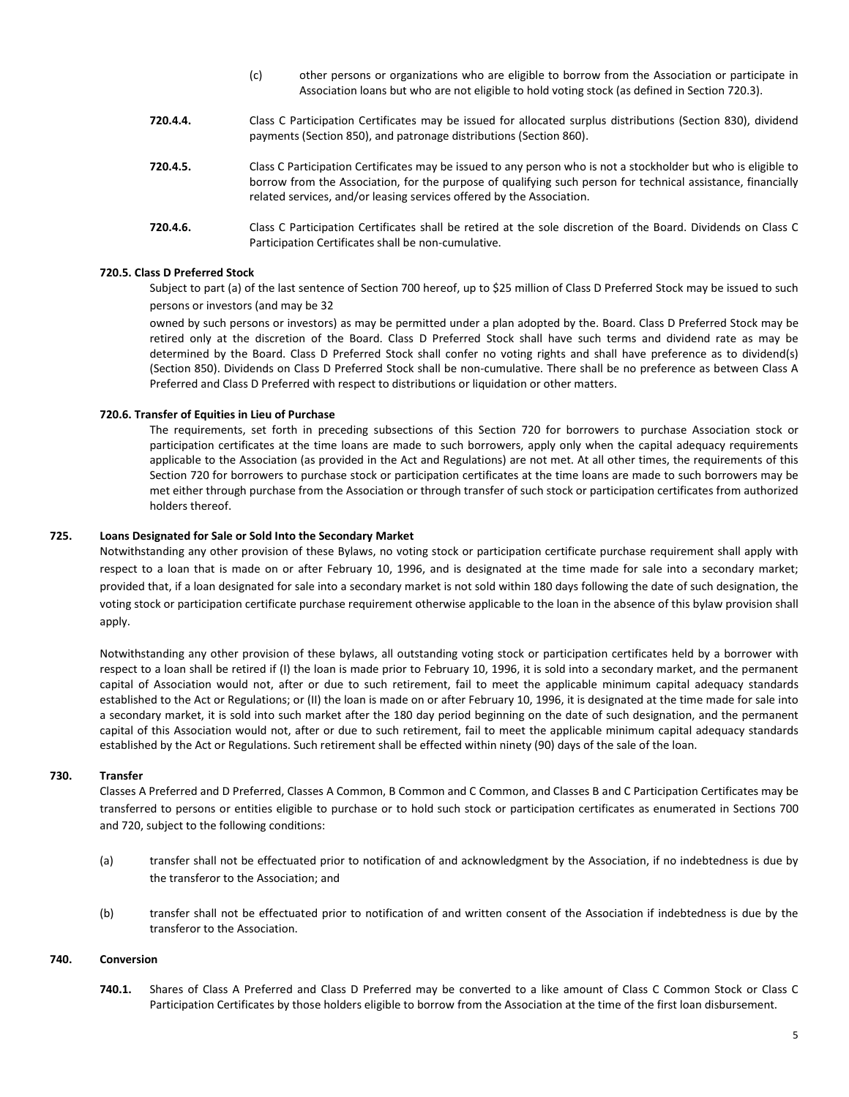- (c) other persons or organizations who are eligible to borrow from the Association or participate in Association loans but who are not eligible to hold voting stock (as defined in Section 720.3).
- **720.4.4.** Class C Participation Certificates may be issued for allocated surplus distributions (Section 830), dividend payments (Section 850), and patronage distributions (Section 860).
- **720.4.5.** Class C Participation Certificates may be issued to any person who is not a stockholder but who is eligible to borrow from the Association, for the purpose of qualifying such person for technical assistance, financially related services, and/or leasing services offered by the Association.
- **720.4.6.** Class C Participation Certificates shall be retired at the sole discretion of the Board. Dividends on Class C Participation Certificates shall be non-cumulative.

#### **720.5. Class D Preferred Stock**

Subject to part (a) of the last sentence of Section 700 hereof, up to \$25 million of Class D Preferred Stock may be issued to such persons or investors (and may be 32

owned by such persons or investors) as may be permitted under a plan adopted by the. Board. Class D Preferred Stock may be retired only at the discretion of the Board. Class D Preferred Stock shall have such terms and dividend rate as may be determined by the Board. Class D Preferred Stock shall confer no voting rights and shall have preference as to dividend(s) (Section 850). Dividends on Class D Preferred Stock shall be non-cumulative. There shall be no preference as between Class A Preferred and Class D Preferred with respect to distributions or liquidation or other matters.

#### **720.6. Transfer of Equities in Lieu of Purchase**

The requirements, set forth in preceding subsections of this Section 720 for borrowers to purchase Association stock or participation certificates at the time loans are made to such borrowers, apply only when the capital adequacy requirements applicable to the Association (as provided in the Act and Regulations) are not met. At all other times, the requirements of this Section 720 for borrowers to purchase stock or participation certificates at the time loans are made to such borrowers may be met either through purchase from the Association or through transfer of such stock or participation certificates from authorized holders thereof.

#### **725. Loans Designated for Sale or Sold Into the Secondary Market**

Notwithstanding any other provision of these Bylaws, no voting stock or participation certificate purchase requirement shall apply with respect to a loan that is made on or after February 10, 1996, and is designated at the time made for sale into a secondary market; provided that, if a loan designated for sale into a secondary market is not sold within 180 days following the date of such designation, the voting stock or participation certificate purchase requirement otherwise applicable to the loan in the absence of this bylaw provision shall apply.

Notwithstanding any other provision of these bylaws, all outstanding voting stock or participation certificates held by a borrower with respect to a loan shall be retired if (I) the loan is made prior to February 10, 1996, it is sold into a secondary market, and the permanent capital of Association would not, after or due to such retirement, fail to meet the applicable minimum capital adequacy standards established to the Act or Regulations; or (II) the loan is made on or after February 10, 1996, it is designated at the time made for sale into a secondary market, it is sold into such market after the 180 day period beginning on the date of such designation, and the permanent capital of this Association would not, after or due to such retirement, fail to meet the applicable minimum capital adequacy standards established by the Act or Regulations. Such retirement shall be effected within ninety (90) days of the sale of the loan.

# **730. Transfer**

Classes A Preferred and D Preferred, Classes A Common, B Common and C Common, and Classes B and C Participation Certificates may be transferred to persons or entities eligible to purchase or to hold such stock or participation certificates as enumerated in Sections 700 and 720, subject to the following conditions:

- (a) transfer shall not be effectuated prior to notification of and acknowledgment by the Association, if no indebtedness is due by the transferor to the Association; and
- (b) transfer shall not be effectuated prior to notification of and written consent of the Association if indebtedness is due by the transferor to the Association.

#### **740. Conversion**

**740.1.** Shares of Class A Preferred and Class D Preferred may be converted to a like amount of Class C Common Stock or Class C Participation Certificates by those holders eligible to borrow from the Association at the time of the first loan disbursement.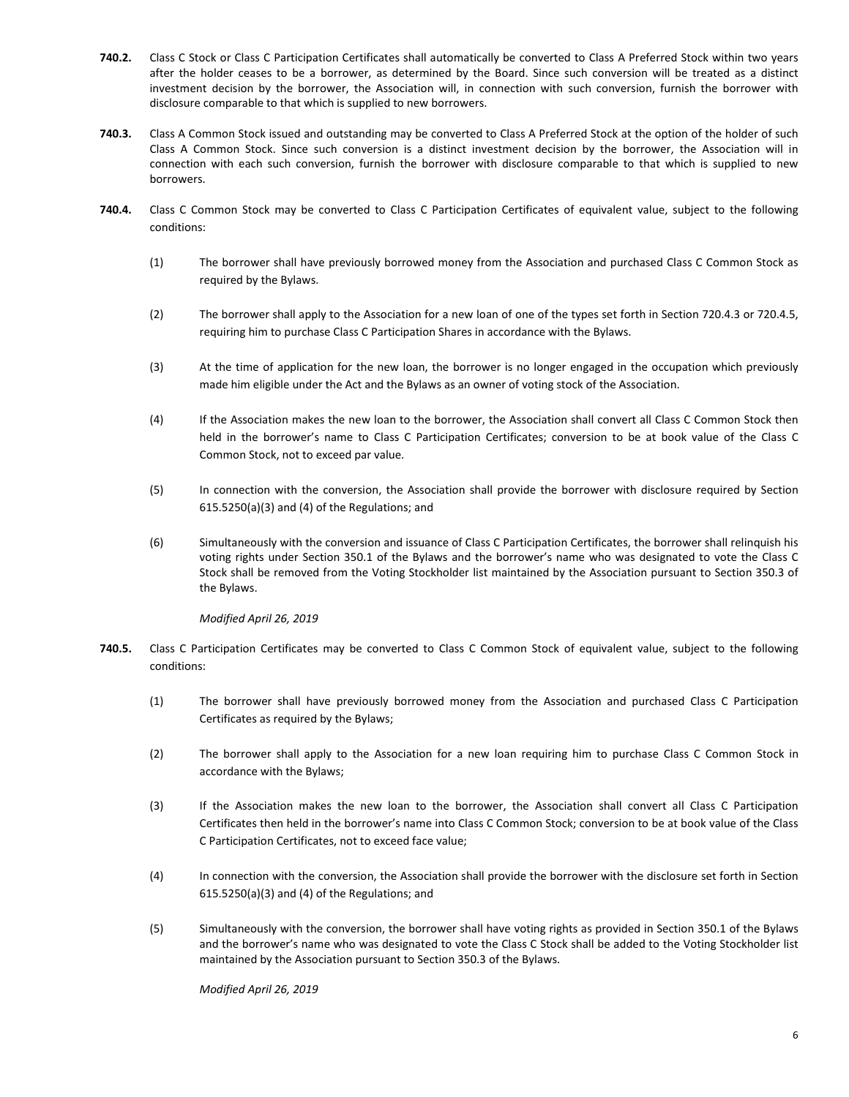- **740.2.** Class C Stock or Class C Participation Certificates shall automatically be converted to Class A Preferred Stock within two years after the holder ceases to be a borrower, as determined by the Board. Since such conversion will be treated as a distinct investment decision by the borrower, the Association will, in connection with such conversion, furnish the borrower with disclosure comparable to that which is supplied to new borrowers.
- **740.3.** Class A Common Stock issued and outstanding may be converted to Class A Preferred Stock at the option of the holder of such Class A Common Stock. Since such conversion is a distinct investment decision by the borrower, the Association will in connection with each such conversion, furnish the borrower with disclosure comparable to that which is supplied to new borrowers.
- **740.4.** Class C Common Stock may be converted to Class C Participation Certificates of equivalent value, subject to the following conditions:
	- (1) The borrower shall have previously borrowed money from the Association and purchased Class C Common Stock as required by the Bylaws.
	- (2) The borrower shall apply to the Association for a new loan of one of the types set forth in Section 720.4.3 or 720.4.5, requiring him to purchase Class C Participation Shares in accordance with the Bylaws.
	- (3) At the time of application for the new loan, the borrower is no longer engaged in the occupation which previously made him eligible under the Act and the Bylaws as an owner of voting stock of the Association.
	- (4) If the Association makes the new loan to the borrower, the Association shall convert all Class C Common Stock then held in the borrower's name to Class C Participation Certificates; conversion to be at book value of the Class C Common Stock, not to exceed par value.
	- (5) In connection with the conversion, the Association shall provide the borrower with disclosure required by Section 615.5250(a)(3) and (4) of the Regulations; and
	- (6) Simultaneously with the conversion and issuance of Class C Participation Certificates, the borrower shall relinquish his voting rights under Section 350.1 of the Bylaws and the borrower's name who was designated to vote the Class C Stock shall be removed from the Voting Stockholder list maintained by the Association pursuant to Section 350.3 of the Bylaws.

#### *Modified April 26, 2019*

- **740.5.** Class C Participation Certificates may be converted to Class C Common Stock of equivalent value, subject to the following conditions:
	- (1) The borrower shall have previously borrowed money from the Association and purchased Class C Participation Certificates as required by the Bylaws;
	- (2) The borrower shall apply to the Association for a new loan requiring him to purchase Class C Common Stock in accordance with the Bylaws;
	- (3) If the Association makes the new loan to the borrower, the Association shall convert all Class C Participation Certificates then held in the borrower's name into Class C Common Stock; conversion to be at book value of the Class C Participation Certificates, not to exceed face value;
	- (4) In connection with the conversion, the Association shall provide the borrower with the disclosure set forth in Section 615.5250(a)(3) and (4) of the Regulations; and
	- (5) Simultaneously with the conversion, the borrower shall have voting rights as provided in Section 350.1 of the Bylaws and the borrower's name who was designated to vote the Class C Stock shall be added to the Voting Stockholder list maintained by the Association pursuant to Section 350.3 of the Bylaws.

*Modified April 26, 2019*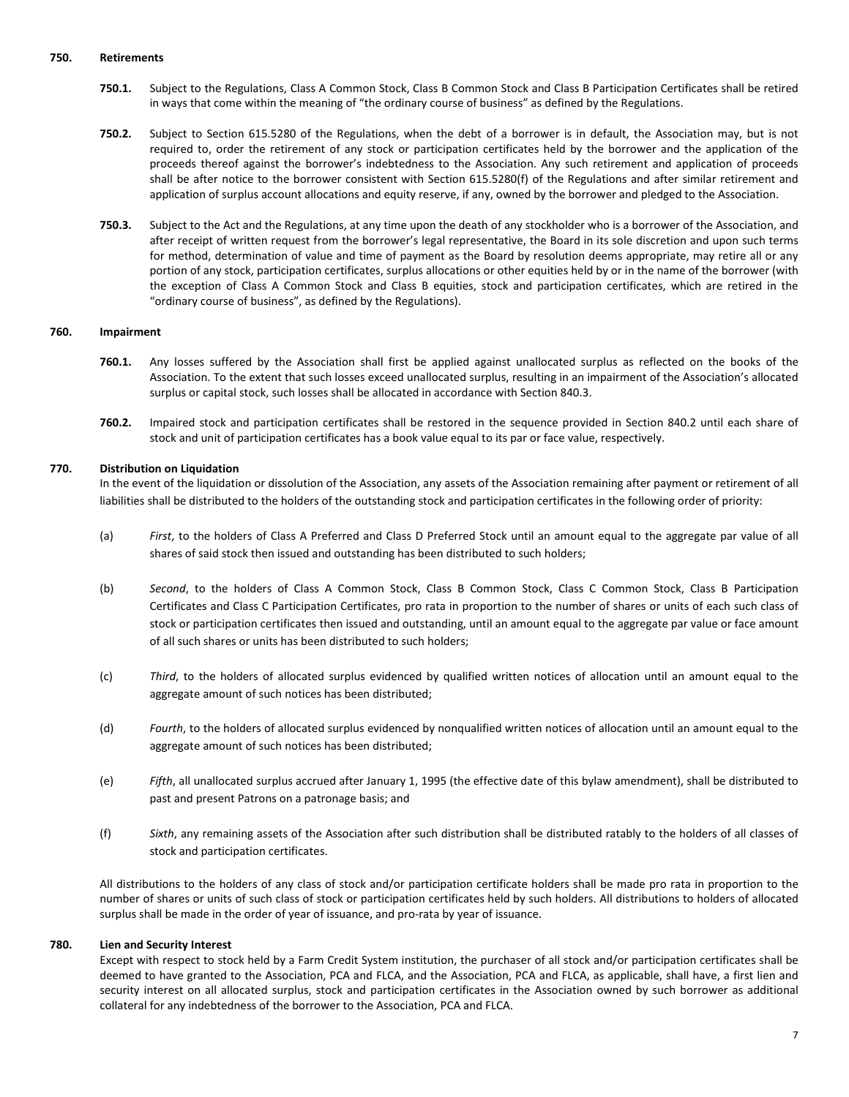#### **750. Retirements**

- **750.1.** Subject to the Regulations, Class A Common Stock, Class B Common Stock and Class B Participation Certificates shall be retired in ways that come within the meaning of "the ordinary course of business" as defined by the Regulations.
- **750.2.** Subject to Section 615.5280 of the Regulations, when the debt of a borrower is in default, the Association may, but is not required to, order the retirement of any stock or participation certificates held by the borrower and the application of the proceeds thereof against the borrower's indebtedness to the Association. Any such retirement and application of proceeds shall be after notice to the borrower consistent with Section 615.5280(f) of the Regulations and after similar retirement and application of surplus account allocations and equity reserve, if any, owned by the borrower and pledged to the Association.
- **750.3.** Subject to the Act and the Regulations, at any time upon the death of any stockholder who is a borrower of the Association, and after receipt of written request from the borrower's legal representative, the Board in its sole discretion and upon such terms for method, determination of value and time of payment as the Board by resolution deems appropriate, may retire all or any portion of any stock, participation certificates, surplus allocations or other equities held by or in the name of the borrower (with the exception of Class A Common Stock and Class B equities, stock and participation certificates, which are retired in the "ordinary course of business", as defined by the Regulations).

#### **760. Impairment**

- **760.1.** Any losses suffered by the Association shall first be applied against unallocated surplus as reflected on the books of the Association. To the extent that such losses exceed unallocated surplus, resulting in an impairment of the Association's allocated surplus or capital stock, such losses shall be allocated in accordance with Section 840.3.
- **760.2.** Impaired stock and participation certificates shall be restored in the sequence provided in Section 840.2 until each share of stock and unit of participation certificates has a book value equal to its par or face value, respectively.

# **770. Distribution on Liquidation**

In the event of the liquidation or dissolution of the Association, any assets of the Association remaining after payment or retirement of all liabilities shall be distributed to the holders of the outstanding stock and participation certificates in the following order of priority:

- (a) *First*, to the holders of Class A Preferred and Class D Preferred Stock until an amount equal to the aggregate par value of all shares of said stock then issued and outstanding has been distributed to such holders;
- (b) *Second*, to the holders of Class A Common Stock, Class B Common Stock, Class C Common Stock, Class B Participation Certificates and Class C Participation Certificates, pro rata in proportion to the number of shares or units of each such class of stock or participation certificates then issued and outstanding, until an amount equal to the aggregate par value or face amount of all such shares or units has been distributed to such holders;
- (c) *Third*, to the holders of allocated surplus evidenced by qualified written notices of allocation until an amount equal to the aggregate amount of such notices has been distributed;
- (d) *Fourth*, to the holders of allocated surplus evidenced by nonqualified written notices of allocation until an amount equal to the aggregate amount of such notices has been distributed;
- (e) *Fifth*, all unallocated surplus accrued after January 1, 1995 (the effective date of this bylaw amendment), shall be distributed to past and present Patrons on a patronage basis; and
- (f) *Sixth*, any remaining assets of the Association after such distribution shall be distributed ratably to the holders of all classes of stock and participation certificates.

All distributions to the holders of any class of stock and/or participation certificate holders shall be made pro rata in proportion to the number of shares or units of such class of stock or participation certificates held by such holders. All distributions to holders of allocated surplus shall be made in the order of year of issuance, and pro-rata by year of issuance.

# **780. Lien and Security Interest**

Except with respect to stock held by a Farm Credit System institution, the purchaser of all stock and/or participation certificates shall be deemed to have granted to the Association, PCA and FLCA, and the Association, PCA and FLCA, as applicable, shall have, a first lien and security interest on all allocated surplus, stock and participation certificates in the Association owned by such borrower as additional collateral for any indebtedness of the borrower to the Association, PCA and FLCA.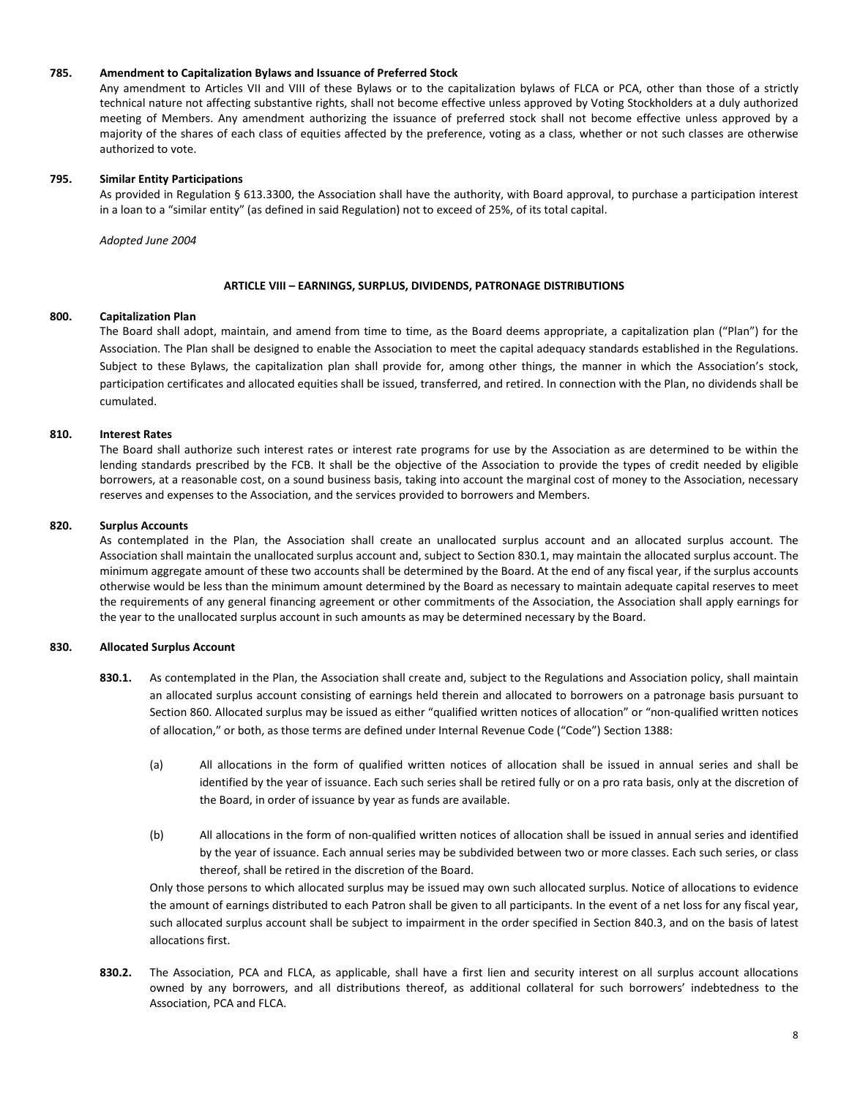#### **785. Amendment to Capitalization Bylaws and Issuance of Preferred Stock**

Any amendment to Articles VII and VIII of these Bylaws or to the capitalization bylaws of FLCA or PCA, other than those of a strictly technical nature not affecting substantive rights, shall not become effective unless approved by Voting Stockholders at a duly authorized meeting of Members. Any amendment authorizing the issuance of preferred stock shall not become effective unless approved by a majority of the shares of each class of equities affected by the preference, voting as a class, whether or not such classes are otherwise authorized to vote.

# **795. Similar Entity Participations**

As provided in Regulation § 613.3300, the Association shall have the authority, with Board approval, to purchase a participation interest in a loan to a "similar entity" (as defined in said Regulation) not to exceed of 25%, of its total capital.

*Adopted June 2004*

# **ARTICLE VIII – EARNINGS, SURPLUS, DIVIDENDS, PATRONAGE DISTRIBUTIONS**

# **800. Capitalization Plan**

The Board shall adopt, maintain, and amend from time to time, as the Board deems appropriate, a capitalization plan ("Plan") for the Association. The Plan shall be designed to enable the Association to meet the capital adequacy standards established in the Regulations. Subject to these Bylaws, the capitalization plan shall provide for, among other things, the manner in which the Association's stock, participation certificates and allocated equities shall be issued, transferred, and retired. In connection with the Plan, no dividends shall be cumulated.

# **810. Interest Rates**

The Board shall authorize such interest rates or interest rate programs for use by the Association as are determined to be within the lending standards prescribed by the FCB. It shall be the objective of the Association to provide the types of credit needed by eligible borrowers, at a reasonable cost, on a sound business basis, taking into account the marginal cost of money to the Association, necessary reserves and expenses to the Association, and the services provided to borrowers and Members.

# **820. Surplus Accounts**

As contemplated in the Plan, the Association shall create an unallocated surplus account and an allocated surplus account. The Association shall maintain the unallocated surplus account and, subject to Section 830.1, may maintain the allocated surplus account. The minimum aggregate amount of these two accounts shall be determined by the Board. At the end of any fiscal year, if the surplus accounts otherwise would be less than the minimum amount determined by the Board as necessary to maintain adequate capital reserves to meet the requirements of any general financing agreement or other commitments of the Association, the Association shall apply earnings for the year to the unallocated surplus account in such amounts as may be determined necessary by the Board.

# **830. Allocated Surplus Account**

- **830.1.** As contemplated in the Plan, the Association shall create and, subject to the Regulations and Association policy, shall maintain an allocated surplus account consisting of earnings held therein and allocated to borrowers on a patronage basis pursuant to Section 860. Allocated surplus may be issued as either "qualified written notices of allocation" or "non-qualified written notices of allocation," or both, as those terms are defined under Internal Revenue Code ("Code") Section 1388:
	- (a) All allocations in the form of qualified written notices of allocation shall be issued in annual series and shall be identified by the year of issuance. Each such series shall be retired fully or on a pro rata basis, only at the discretion of the Board, in order of issuance by year as funds are available.
	- (b) All allocations in the form of non-qualified written notices of allocation shall be issued in annual series and identified by the year of issuance. Each annual series may be subdivided between two or more classes. Each such series, or class thereof, shall be retired in the discretion of the Board.

Only those persons to which allocated surplus may be issued may own such allocated surplus. Notice of allocations to evidence the amount of earnings distributed to each Patron shall be given to all participants. In the event of a net loss for any fiscal year, such allocated surplus account shall be subject to impairment in the order specified in Section 840.3, and on the basis of latest allocations first.

**830.2.** The Association, PCA and FLCA, as applicable, shall have a first lien and security interest on all surplus account allocations owned by any borrowers, and all distributions thereof, as additional collateral for such borrowers' indebtedness to the Association, PCA and FLCA.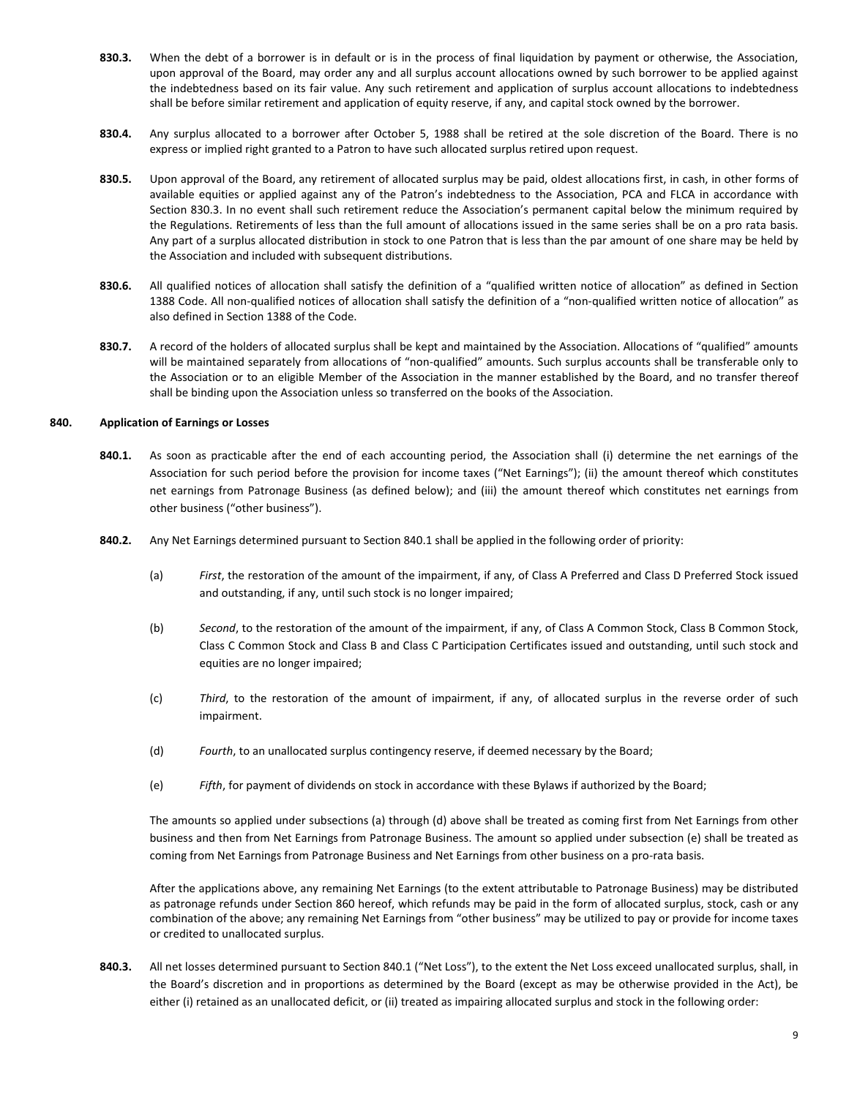- **830.3.** When the debt of a borrower is in default or is in the process of final liquidation by payment or otherwise, the Association, upon approval of the Board, may order any and all surplus account allocations owned by such borrower to be applied against the indebtedness based on its fair value. Any such retirement and application of surplus account allocations to indebtedness shall be before similar retirement and application of equity reserve, if any, and capital stock owned by the borrower.
- **830.4.** Any surplus allocated to a borrower after October 5, 1988 shall be retired at the sole discretion of the Board. There is no express or implied right granted to a Patron to have such allocated surplus retired upon request.
- **830.5.** Upon approval of the Board, any retirement of allocated surplus may be paid, oldest allocations first, in cash, in other forms of available equities or applied against any of the Patron's indebtedness to the Association, PCA and FLCA in accordance with Section 830.3. In no event shall such retirement reduce the Association's permanent capital below the minimum required by the Regulations. Retirements of less than the full amount of allocations issued in the same series shall be on a pro rata basis. Any part of a surplus allocated distribution in stock to one Patron that is less than the par amount of one share may be held by the Association and included with subsequent distributions.
- **830.6.** All qualified notices of allocation shall satisfy the definition of a "qualified written notice of allocation" as defined in Section 1388 Code. All non-qualified notices of allocation shall satisfy the definition of a "non-qualified written notice of allocation" as also defined in Section 1388 of the Code.
- **830.7.** A record of the holders of allocated surplus shall be kept and maintained by the Association. Allocations of "qualified" amounts will be maintained separately from allocations of "non-qualified" amounts. Such surplus accounts shall be transferable only to the Association or to an eligible Member of the Association in the manner established by the Board, and no transfer thereof shall be binding upon the Association unless so transferred on the books of the Association.

# **840. Application of Earnings or Losses**

- **840.1.** As soon as practicable after the end of each accounting period, the Association shall (i) determine the net earnings of the Association for such period before the provision for income taxes ("Net Earnings"); (ii) the amount thereof which constitutes net earnings from Patronage Business (as defined below); and (iii) the amount thereof which constitutes net earnings from other business ("other business").
- **840.2.** Any Net Earnings determined pursuant to Section 840.1 shall be applied in the following order of priority:
	- (a) *First*, the restoration of the amount of the impairment, if any, of Class A Preferred and Class D Preferred Stock issued and outstanding, if any, until such stock is no longer impaired;
	- (b) *Second*, to the restoration of the amount of the impairment, if any, of Class A Common Stock, Class B Common Stock, Class C Common Stock and Class B and Class C Participation Certificates issued and outstanding, until such stock and equities are no longer impaired;
	- (c) *Third*, to the restoration of the amount of impairment, if any, of allocated surplus in the reverse order of such impairment.
	- (d) *Fourth*, to an unallocated surplus contingency reserve, if deemed necessary by the Board;
	- (e) *Fifth*, for payment of dividends on stock in accordance with these Bylaws if authorized by the Board;

The amounts so applied under subsections (a) through (d) above shall be treated as coming first from Net Earnings from other business and then from Net Earnings from Patronage Business. The amount so applied under subsection (e) shall be treated as coming from Net Earnings from Patronage Business and Net Earnings from other business on a pro-rata basis.

After the applications above, any remaining Net Earnings (to the extent attributable to Patronage Business) may be distributed as patronage refunds under Section 860 hereof, which refunds may be paid in the form of allocated surplus, stock, cash or any combination of the above; any remaining Net Earnings from "other business" may be utilized to pay or provide for income taxes or credited to unallocated surplus.

**840.3.** All net losses determined pursuant to Section 840.1 ("Net Loss"), to the extent the Net Loss exceed unallocated surplus, shall, in the Board's discretion and in proportions as determined by the Board (except as may be otherwise provided in the Act), be either (i) retained as an unallocated deficit, or (ii) treated as impairing allocated surplus and stock in the following order: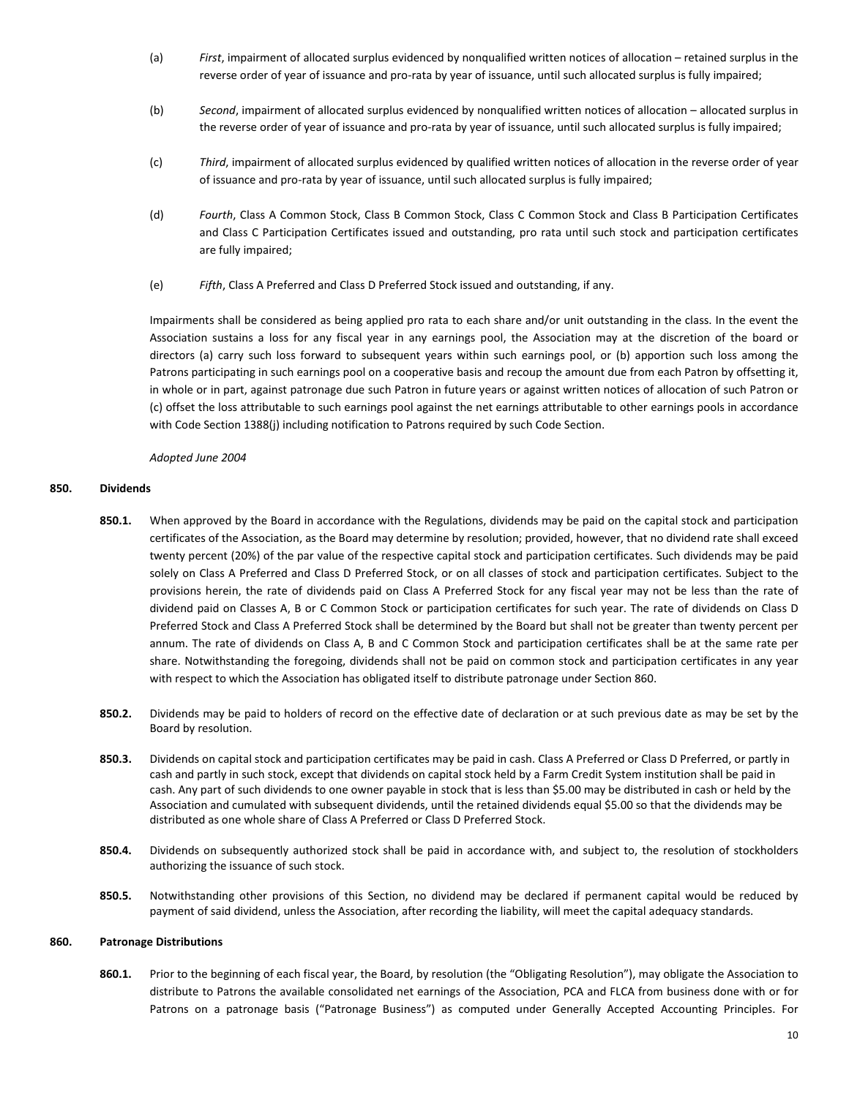- (a) *First*, impairment of allocated surplus evidenced by nonqualified written notices of allocation retained surplus in the reverse order of year of issuance and pro-rata by year of issuance, until such allocated surplus is fully impaired;
- (b) *Second*, impairment of allocated surplus evidenced by nonqualified written notices of allocation allocated surplus in the reverse order of year of issuance and pro-rata by year of issuance, until such allocated surplus is fully impaired;
- (c) *Third*, impairment of allocated surplus evidenced by qualified written notices of allocation in the reverse order of year of issuance and pro-rata by year of issuance, until such allocated surplus is fully impaired;
- (d) *Fourth*, Class A Common Stock, Class B Common Stock, Class C Common Stock and Class B Participation Certificates and Class C Participation Certificates issued and outstanding, pro rata until such stock and participation certificates are fully impaired;
- (e) *Fifth*, Class A Preferred and Class D Preferred Stock issued and outstanding, if any.

Impairments shall be considered as being applied pro rata to each share and/or unit outstanding in the class. In the event the Association sustains a loss for any fiscal year in any earnings pool, the Association may at the discretion of the board or directors (a) carry such loss forward to subsequent years within such earnings pool, or (b) apportion such loss among the Patrons participating in such earnings pool on a cooperative basis and recoup the amount due from each Patron by offsetting it, in whole or in part, against patronage due such Patron in future years or against written notices of allocation of such Patron or (c) offset the loss attributable to such earnings pool against the net earnings attributable to other earnings pools in accordance with Code Section 1388(j) including notification to Patrons required by such Code Section.

*Adopted June 2004*

# **850. Dividends**

- **850.1.** When approved by the Board in accordance with the Regulations, dividends may be paid on the capital stock and participation certificates of the Association, as the Board may determine by resolution; provided, however, that no dividend rate shall exceed twenty percent (20%) of the par value of the respective capital stock and participation certificates. Such dividends may be paid solely on Class A Preferred and Class D Preferred Stock, or on all classes of stock and participation certificates. Subject to the provisions herein, the rate of dividends paid on Class A Preferred Stock for any fiscal year may not be less than the rate of dividend paid on Classes A, B or C Common Stock or participation certificates for such year. The rate of dividends on Class D Preferred Stock and Class A Preferred Stock shall be determined by the Board but shall not be greater than twenty percent per annum. The rate of dividends on Class A, B and C Common Stock and participation certificates shall be at the same rate per share. Notwithstanding the foregoing, dividends shall not be paid on common stock and participation certificates in any year with respect to which the Association has obligated itself to distribute patronage under Section 860.
- **850.2.** Dividends may be paid to holders of record on the effective date of declaration or at such previous date as may be set by the Board by resolution.
- **850.3.** Dividends on capital stock and participation certificates may be paid in cash. Class A Preferred or Class D Preferred, or partly in cash and partly in such stock, except that dividends on capital stock held by a Farm Credit System institution shall be paid in cash. Any part of such dividends to one owner payable in stock that is less than \$5.00 may be distributed in cash or held by the Association and cumulated with subsequent dividends, until the retained dividends equal \$5.00 so that the dividends may be distributed as one whole share of Class A Preferred or Class D Preferred Stock.
- **850.4.** Dividends on subsequently authorized stock shall be paid in accordance with, and subject to, the resolution of stockholders authorizing the issuance of such stock.
- **850.5.** Notwithstanding other provisions of this Section, no dividend may be declared if permanent capital would be reduced by payment of said dividend, unless the Association, after recording the liability, will meet the capital adequacy standards.

#### **860. Patronage Distributions**

**860.1.** Prior to the beginning of each fiscal year, the Board, by resolution (the "Obligating Resolution"), may obligate the Association to distribute to Patrons the available consolidated net earnings of the Association, PCA and FLCA from business done with or for Patrons on a patronage basis ("Patronage Business") as computed under Generally Accepted Accounting Principles. For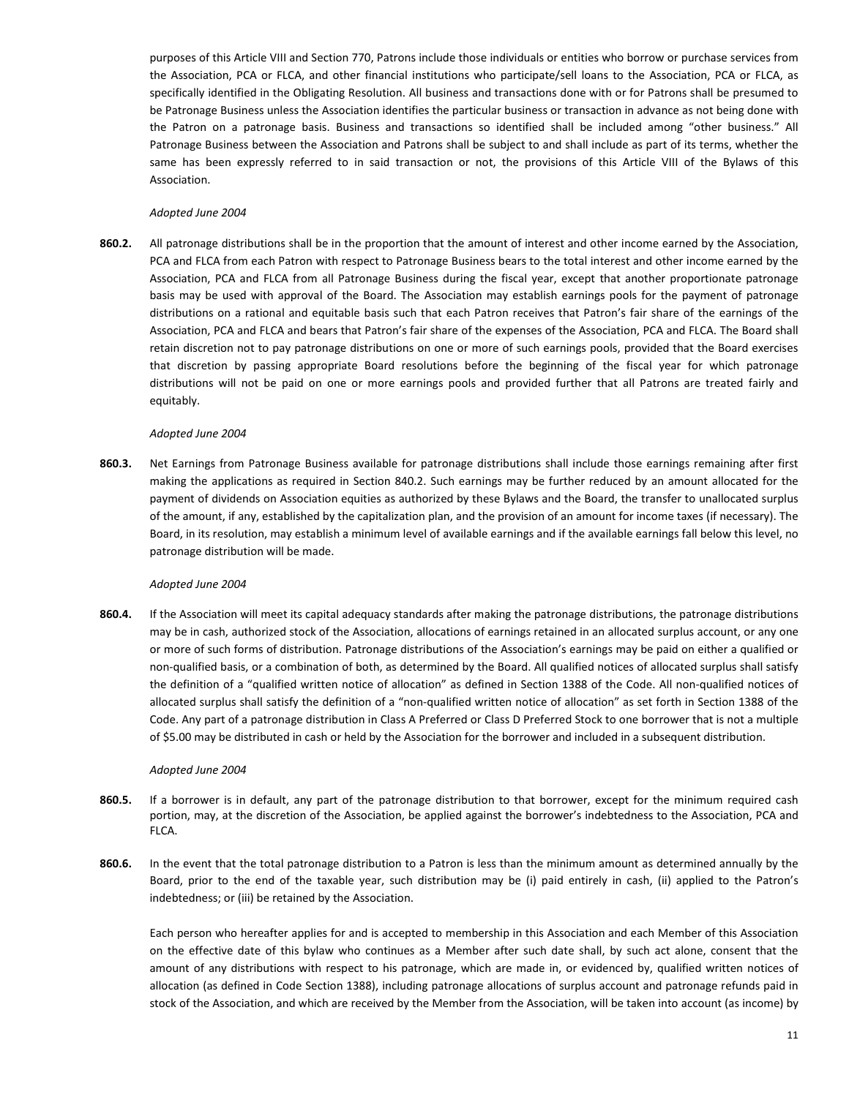purposes of this Article VIII and Section 770, Patrons include those individuals or entities who borrow or purchase services from the Association, PCA or FLCA, and other financial institutions who participate/sell loans to the Association, PCA or FLCA, as specifically identified in the Obligating Resolution. All business and transactions done with or for Patrons shall be presumed to be Patronage Business unless the Association identifies the particular business or transaction in advance as not being done with the Patron on a patronage basis. Business and transactions so identified shall be included among "other business." All Patronage Business between the Association and Patrons shall be subject to and shall include as part of its terms, whether the same has been expressly referred to in said transaction or not, the provisions of this Article VIII of the Bylaws of this Association.

# *Adopted June 2004*

**860.2.** All patronage distributions shall be in the proportion that the amount of interest and other income earned by the Association, PCA and FLCA from each Patron with respect to Patronage Business bears to the total interest and other income earned by the Association, PCA and FLCA from all Patronage Business during the fiscal year, except that another proportionate patronage basis may be used with approval of the Board. The Association may establish earnings pools for the payment of patronage distributions on a rational and equitable basis such that each Patron receives that Patron's fair share of the earnings of the Association, PCA and FLCA and bears that Patron's fair share of the expenses of the Association, PCA and FLCA. The Board shall retain discretion not to pay patronage distributions on one or more of such earnings pools, provided that the Board exercises that discretion by passing appropriate Board resolutions before the beginning of the fiscal year for which patronage distributions will not be paid on one or more earnings pools and provided further that all Patrons are treated fairly and equitably.

# *Adopted June 2004*

**860.3.** Net Earnings from Patronage Business available for patronage distributions shall include those earnings remaining after first making the applications as required in Section 840.2. Such earnings may be further reduced by an amount allocated for the payment of dividends on Association equities as authorized by these Bylaws and the Board, the transfer to unallocated surplus of the amount, if any, established by the capitalization plan, and the provision of an amount for income taxes (if necessary). The Board, in its resolution, may establish a minimum level of available earnings and if the available earnings fall below this level, no patronage distribution will be made.

#### *Adopted June 2004*

**860.4.** If the Association will meet its capital adequacy standards after making the patronage distributions, the patronage distributions may be in cash, authorized stock of the Association, allocations of earnings retained in an allocated surplus account, or any one or more of such forms of distribution. Patronage distributions of the Association's earnings may be paid on either a qualified or non-qualified basis, or a combination of both, as determined by the Board. All qualified notices of allocated surplus shall satisfy the definition of a "qualified written notice of allocation" as defined in Section 1388 of the Code. All non-qualified notices of allocated surplus shall satisfy the definition of a "non-qualified written notice of allocation" as set forth in Section 1388 of the Code. Any part of a patronage distribution in Class A Preferred or Class D Preferred Stock to one borrower that is not a multiple of \$5.00 may be distributed in cash or held by the Association for the borrower and included in a subsequent distribution.

#### *Adopted June 2004*

- **860.5.** If a borrower is in default, any part of the patronage distribution to that borrower, except for the minimum required cash portion, may, at the discretion of the Association, be applied against the borrower's indebtedness to the Association, PCA and FLCA.
- **860.6.** In the event that the total patronage distribution to a Patron is less than the minimum amount as determined annually by the Board, prior to the end of the taxable year, such distribution may be (i) paid entirely in cash, (ii) applied to the Patron's indebtedness; or (iii) be retained by the Association.

Each person who hereafter applies for and is accepted to membership in this Association and each Member of this Association on the effective date of this bylaw who continues as a Member after such date shall, by such act alone, consent that the amount of any distributions with respect to his patronage, which are made in, or evidenced by, qualified written notices of allocation (as defined in Code Section 1388), including patronage allocations of surplus account and patronage refunds paid in stock of the Association, and which are received by the Member from the Association, will be taken into account (as income) by